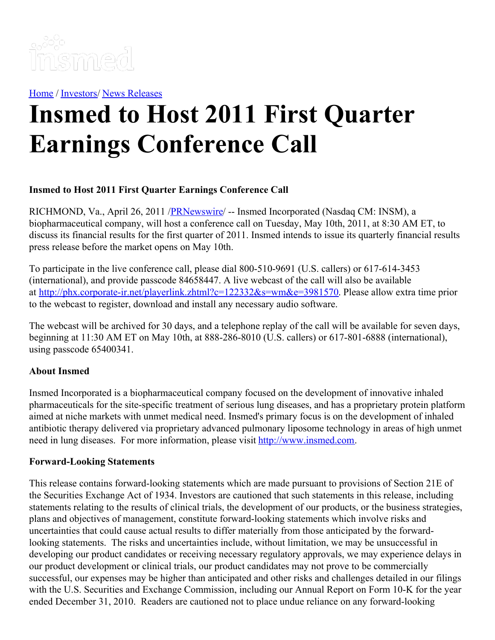

[Home](https://insmed.com/) / [Investors](https://investor.insmed.com/index)/ News [Releases](https://investor.insmed.com/releases)

## **Insmed to Host 2011 First Quarter Earnings Conference Call**

## **Insmed to Host 2011 First Quarter Earnings Conference Call**

RICHMOND, Va., April 26, 2011 [/PRNewswire](http://www.prnewswire.com/)/ -- Insmed Incorporated (Nasdaq CM: INSM), a biopharmaceutical company, will host a conference call on Tuesday, May 10th, 2011, at 8:30 AM ET, to discuss its financial results for the first quarter of 2011. Insmed intends to issue its quarterly financial results press release before the market opens on May 10th.

To participate in the live conference call, please dial 800-510-9691 (U.S. callers) or 617-614-3453 (international), and provide passcode 84658447. A live webcast of the call will also be available at <http://phx.corporate-ir.net/playerlink.zhtml?c=122332&s=wm&e=3981570>. Please allow extra time prior to the webcast to register, download and install any necessary audio software.

The webcast will be archived for 30 days, and a telephone replay of the call will be available for seven days, beginning at 11:30 AM ET on May 10th, at 888-286-8010 (U.S. callers) or 617-801-6888 (international), using passcode 65400341.

## **About Insmed**

Insmed Incorporated is a biopharmaceutical company focused on the development of innovative inhaled pharmaceuticals for the site-specific treatment of serious lung diseases, and has a proprietary protein platform aimed at niche markets with unmet medical need. Insmed's primary focus is on the development of inhaled antibiotic therapy delivered via proprietary advanced pulmonary liposome technology in areas of high unmet need in lung diseases. For more information, please visit [http://www.insmed.com](http://www.insmed.com/).

## **Forward-Looking Statements**

This release contains forward-looking statements which are made pursuant to provisions of Section 21E of the Securities Exchange Act of 1934. Investors are cautioned that such statements in this release, including statements relating to the results of clinical trials, the development of our products, or the business strategies, plans and objectives of management, constitute forward-looking statements which involve risks and uncertainties that could cause actual results to differ materially from those anticipated by the forwardlooking statements. The risks and uncertainties include, without limitation, we may be unsuccessful in developing our product candidates or receiving necessary regulatory approvals, we may experience delays in our product development or clinical trials, our product candidates may not prove to be commercially successful, our expenses may be higher than anticipated and other risks and challenges detailed in our filings with the U.S. Securities and Exchange Commission, including our Annual Report on Form 10-K for the year ended December 31, 2010. Readers are cautioned not to place undue reliance on any forward-looking